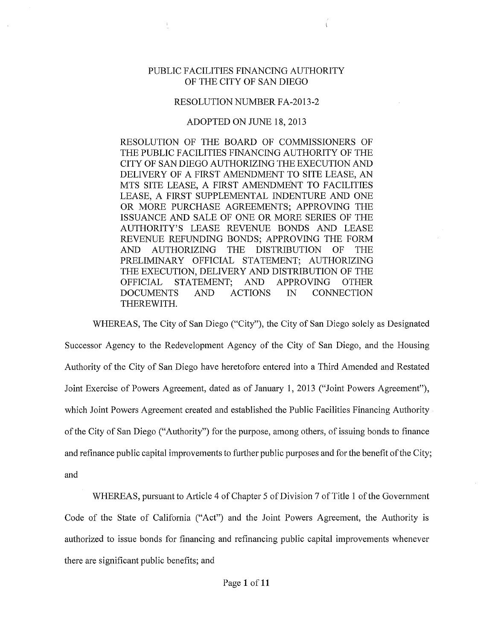## PUBLIC FACILITIES FINANCING AUTHORITY OF THE CITY OF SAN DIEGO

## RESOLUTION NUMBER FA-2013-2

## ADOPTED ON JUNE 18,2013

RESOLUTION OF THE BOARD OF COMMISSIONERS OF THE PUBLIC FACILITIES FINANCING AUTHORITY OF THE CITY OF SAN DIEGO AUTHORIZING THE EXECUTION AND DELIVERY OF A FIRST AMENDMENT TO SITE LEASE, AN MTS SITE LEASE, A FIRST AMENDMENT TO FACILITIES LEASE, A FIRST SUPPLEMENTAL INDENTURE AND ONE OR MORE PURCHASE AGREEMENTS; APPROVING THE ISSUANCE AND SALE OF ONE OR MORE SERIES OF THE AUTHORITY'S LEASE REVENUE BONDS AND LEASE REVENUE REFUNDING BONDS; APPROVING THE FORM AND AUTHORIZING THE DISTRIBUTION OF THE PRELIMINARY OFFICIAL STATEMENT; AUTHORIZING THE EXECUTION, DELIVERY AND DISTRIBUTION OF THE OFFICIAL STATEMENT; AND APPROVING OTHER DOCUMENTS AND ACTIONS IN CONNECTION THEREWITH.

WHEREAS, The City of San Diego ("City"), the City of San Diego solely as Designated Successor Agency to the Redevelopment Agency of the City of San Diego, and the Housing Authority of the City of San Diego have heretofore entered into a Third Amended and Restated Joint Exercise of Powers Agreement, dated as of January 1, 2013 ("Joint Powers Agreement"), which Joint Powers Agreement created and established the Public Facilities Financing Authority of the City of San Diego ("Authority") for the purpose, among others, of issuing bonds to finance and refinance public capital improvements to further public purposes and for the benefit of the City; and

WHEREAS, pursuant to Article 4 of Chapter 5 of Division 7 of Title 1 of the Government Code of the State of California ("Act") and the Joint Powers Agreement, the Authority is authorized to issue bonds for financing and refinancing public capital improvements whenever there are significant public benefits; and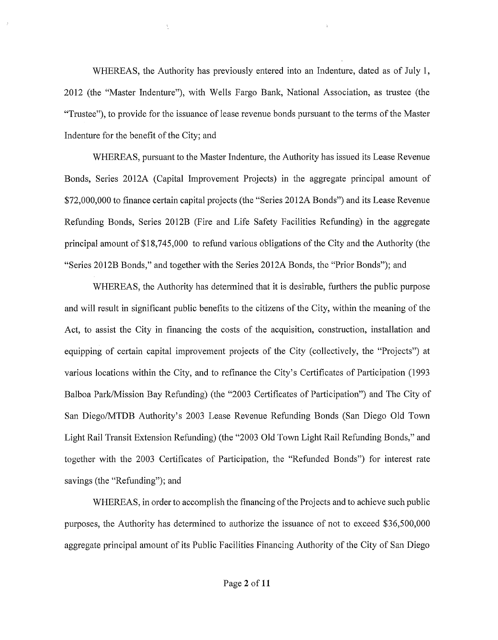WHEREAS, the Authority has previously entered into an Indenture, dated as of July 1, 2012 (the "Master Indenture"), with Wells Fargo Bank, National Association, as trustee (the "Trustee"), to provide for the issuance of lease revenue bonds pursuant to the terms of the Master Indenture for the benefit of the City; and

 $\bar{\zeta}$ 

WHEREAS, pursuant to the Master Indenture, the Authority has issued its Lease Revenue Bonds, Series 2012A (Capital Improvement Projects) in the aggregate principal amount of \$72,000,000 to finance certain capital projects (the "Series 2012A Bonds") and its Lease Revenue Refunding Bonds, Series 2012B (Fire and Life Safety Facilities Refunding) in the aggregate principal amount of\$18,745,000 to refund various obligations of the City and the Authority (the "Series 2012B Bonds," and together with the Series 2012A Bonds, the "Prior Bonds"); and

WHEREAS, the Authority has determined that it is desirable, furthers the public purpose and will result in significant public benefits to the citizens of the City, within the meaning of the Act, to assist the City in financing the costs of the acquisition, construction, installation and equipping of certain capital improvement projects of the City (collectively, the "Projects") at various locations within the City, and to refinance the City's Certificates of Participation (1993 Balboa Park/Mission Bay Refunding) (the "2003 Certificates of Participation") and The City of San Diego/MTDB Authority's 2003 Lease Revenue Refunding Bonds (San Diego Old Town Light Rail Transit Extension Refunding) (the "2003 Old Town Light Rail Refunding Bonds," and together with the 2003 Certificates of Participation, the "Refunded Bonds") for interest rate savings (the "Refunding"); and

WHEREAS, in order to accomplish the financing of the Projects and to achieve such public purposes, the Authority has determined to authorize the issuance of not to exceed \$36,500,000 aggregate principal amount of its Public Facilities Financing Authority of the City of San Diego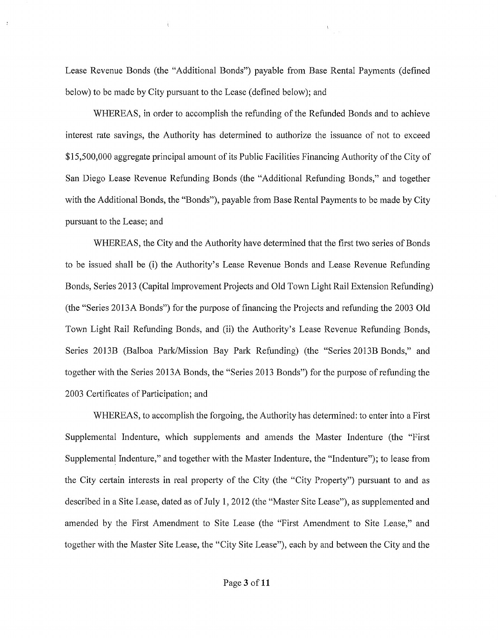Lease Revenue Bonds (the "Additional Bonds") payable from Base Rental Payments (defined below) to be made by City pursuant to the Lease (defined below); and

 $\frac{V_{\rm{max}}}{\sigma_{\rm{max}}^2}$ 

WHEREAS, in order to accomplish the refunding of the Refunded Bonds and to achieve interest rate savings, the Authority has determined to authorize the issuance of not to exceed \$15,500,000 aggregate principal amount of its Public Facilities Financing Authority of the City of San Diego Lease Revenue Refunding Bonds (the "Additional Refunding Bonds," and together with the Additional Bonds, the "Bonds"), payable from Base Rental Payments to be made by City pursuant to the Lease; and

WHEREAS, the City and the Authority have determined that the first two series of Bonds to be issued shall be (i) the Authority's Lease Revenue Bonds and Lease Revenue Refunding Bonds, Series 2013 (Capital Improvement Projects and Old Town Light Rail Extension Refunding) (the "Series 2013A Bonds") for the purpose of financing the Projects and refunding the 2003 Old Town Light Rail Refunding Bonds, and (ii) the Authority's Lease Revenue Refunding Bonds, Series 2013B (Balboa Park/Mission Bay Park Refunding) (the "Series 2013B Bonds," and together with the Series 2013A Bonds, the "Series 2013 Bonds") for the purpose of refunding the 2003 Certificates of Participation; and

WHEREAS, to accomplish the forgoing, the Authority has determined: to enter into a First Supplemental Indenture, which supplements and amends the Master Indenture (the "First Supplemental Indenture," and together with the Master Indenture, the "Indenture"); to lease from the City certain interests in real property of the City (the "City Property") pursuant to and as described in a Site Lease, dated as of July 1, 2012 (the "Master Site Lease"), as supplemented and amended by the First Amendment to Site Lease (the "First Amendment to Site Lease," and together with the Master Site Lease, the "City Site Lease"), each by and between the City and the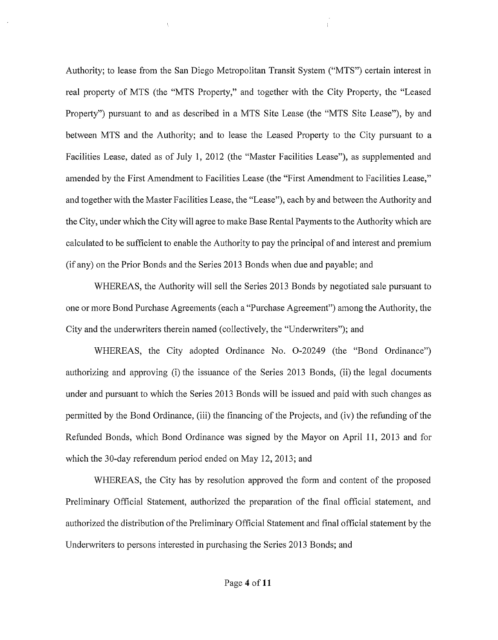Authority; to lease from the San Diego Metropolitan Transit System ("MTS") certain interest in real property of MTS (the "MTS Property," and together with the City Property, the "Leased Property") pursuant to and as described in a MTS Site Lease (the "MTS Site Lease"), by and between MTS and the Authority; and to lease the Leased Propetiy to the City pursuant to a Facilities Lease, dated as of July 1, 2012 (the "Master Facilities Lease"), as supplemented and amended by the First Amendment to Facilities Lease (the "First Amendment to Facilities Lease," and together with the Master Facilities Lease, the "Lease"), each by and between the Authority and the City, under which the City will agree to make Base Rental Payments to the Authority which are calculated to be sufficient to enable the Authority to pay the principal of and interest and premium (if any) on the Prior Bonds and the Series 2013 Bonds when due and payable; and

 $\bar{\chi}$ 

WHEREAS, the Authority will sell the Series 2013 Bonds by negotiated sale pursuant to one or more Bond Purchase Agreements (each a "Purchase Agreement") among the Authority, the City and the underwriters therein named (collectively, the "Underwriters"); and

WHEREAS, the City adopted Ordinance No. 0-20249 (the "Bond Ordinance") authorizing and approving (i) the issuance of the Series 2013 Bonds, (ii) the legal documents under and pursuant to which the Series 2013 Bonds will be issued and paid with such changes as permitted by the Bond Ordinance, (iii) the financing of the Projects, and (iv) the refunding of the Refunded Bonds, which Bond Ordinance was signed by the Mayor on April 11, 2013 and for which the 30-day referendum period ended on May 12, 2013; and

WHEREAS, the City has by resolution approved the form and content of the proposed Preliminary Official Statement, authorized the preparation of the final official statement, and authorized the distribution of the Preliminary Official Statement and final official statement by the Underwriters to persons interested in purchasing the Series 2013 Bonds; and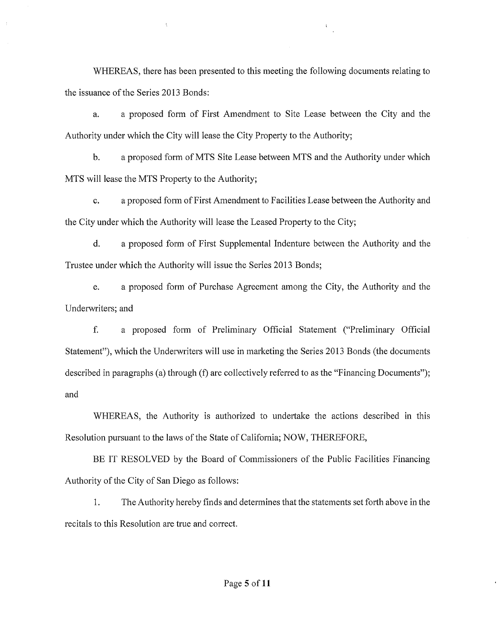WHEREAS, there has been presented to this meeting the following documents relating to the issuance of the Series 2013 Bonds:

 $\bar{\chi}$ 

 $\frac{1}{2}$ 

a. a proposed form of First Amendment to Site Lease between the City and the Authority under which the City will lease the City Property to the Authority;

b. a proposed form ofMTS Site Lease between MTS and the Authority under which MTS will lease the MTS Property to the Authority;

c. a proposed form of First Amendment to Facilities Lease between the Authority and the City under which the Authority will lease the Leased Property to the City;

d. a proposed form of First Supplemental Indenture between the Authority and the Trustee under which the Authority will issue the Series 2013 Bonds;

e. a proposed form of Purchase Agreement among the City, the Authority and the Underwriters; and

f. a proposed form of Preliminary Official Statement ("Preliminary Official Statement"), which the Underwriters will use in marketing the Series 2013 Bonds (the documents described in paragraphs (a) through (f) are collectively referred to as the "Financing Documents"); and

WHEREAS, the Authority is authorized to undertake the actions described in this Resolution pursuant to the laws of the State of California; NOW, THEREFORE,

BE IT RESOLVED by the Board of Commissioners of the Public Facilities Financing Authority of the City of San Diego as follows:

1. The Authority hereby finds and determines that the statements set forth above in the recitals to this Resolution are true and correct.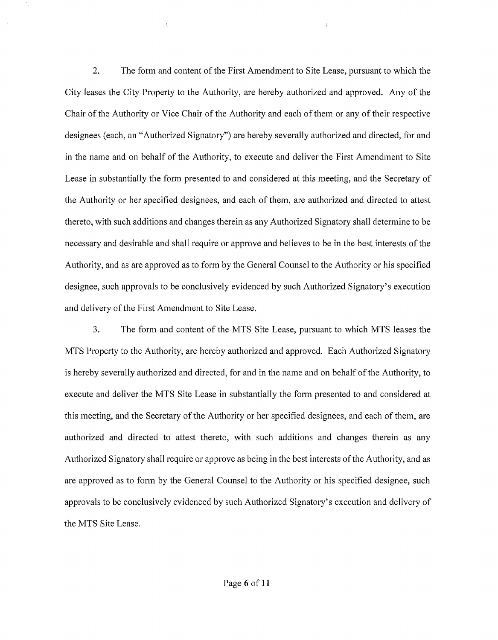2. The form and content of the First Amendment to Site Lease, pursuant to which the City leases the City Property to the Authority, are hereby authorized and approved. Any of the Chair of the Authority or Vice Chair of the Authority and each of them or any of their respective designees (each, an "Authorized Signatory") are hereby severally authorized and directed, for and in the name and on behalf of the Authority, to execute and deliver the First Amendment to Site Lease in substantially the form presented to and considered at this meeting, and the Secretary of the Authority or her specified designees, and each of them, are authorized and directed to attest thereto, with such additions and changes therein as any Authorized Signatory shall determine to be necessary and desirable and shall require or approve and believes to be in the best interests of the Authority, and as are approved as to form by the General Counsel to the Authority or his specified designee, such approvals to be conclusively evidenced by such Authorized Signatory's execution and delivery of the First Amendment to Site Lease.

3. The form and content of the MTS Site Lease, pursuant to which MTS leases the MTS Property to the Authority, are hereby authorized and approved. Each Authorized Signatory is hereby severally authorized and directed, for and in the name and on behalf of the Authority, to execute and deliver the MTS Site Lease in substantially the form presented to and considered at this meeting, and the Secretary of the Authority or her specified designees, and each of them, are authorized and directed to attest thereto, with such additions and changes therein as any Authorized Signatory shall require or approve as being in the best interests of the Authority, and as are approved as to form by the General Counsel to the Authority or his specified designee, such approvals to be conclusively evidenced by such Authorized Signatory's execution and delivery of the MTS Site Lease.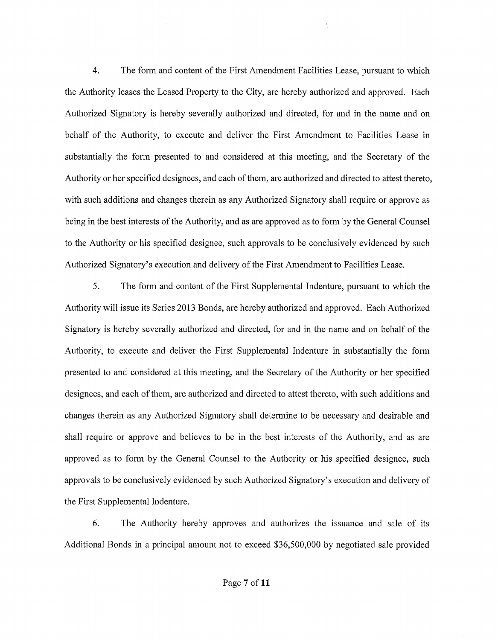4. The form and content of the First Amendment Facilities Lease, pursuant to which the Authority leases the Leased Property to the City, are hereby authorized and approved. Each Authorized Signatory is hereby severally authorized and directed, for and in the name and on behalf of the Authority, to execute and deliver the First Amendment to Facilities Lease in substantially the form presented to and considered at this meeting, and the Secretary of the Authority or her specified designees, and each of them, are authorized and directed to attest thereto, with such additions and changes therein as any Authorized Signatory shall require or approve as being in the best interests of the Authority, and as are approved as to form by the General Counsel to the Authority or his specified designee, such approvals to be conclusively evidenced by such Authorized Signatory's execution and delivery of the First Amendment to Facilities Lease.

5. The form and content of the First Supplemental Indenture, pursuant to which the Authority will issue its Series 2013 Bonds, are hereby authorized and approved. Each Authorized Signatory is hereby severally authorized and directed, for and in the name and on behalf of the Authority, to execute and deliver the First Supplemental Indenture in substantially the form presented to and considered at this meeting, and the Secretary of the Authority or her specified designees, and each of them, are authorized and directed to attest thereto, with such additions and changes therein as any Authorized Signatory shall determine to be necessary and desirable and shall require or approve and believes to be in the best interests of the Authority, and as are approved as to form by the General Counsel to the Authority or his specified designee, such approvals to be conclusively evidenced by such Authorized Signatory's execution and delivery of the First Supplemental Indenture.

6. The Authority hereby approves and authorizes the issuance and sale of its Additional Bonds in a principal amount not to exceed \$36,500,000 by negotiated sale provided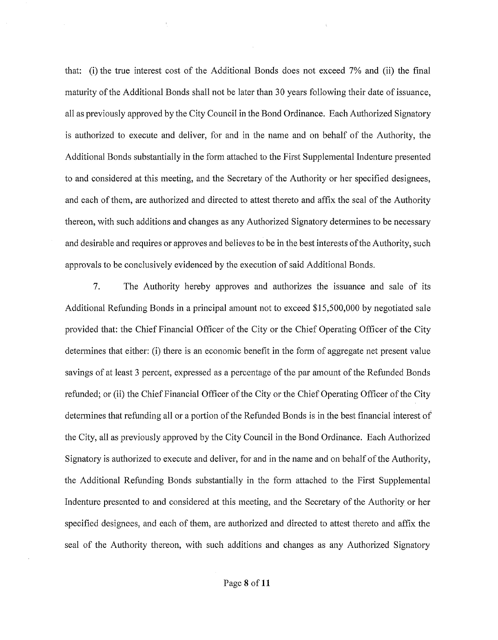that: (i) the true interest cost of the Additional Bonds does not exceed 7% and (ii) the final maturity of the Additional Bonds shall not be later than 30 years following their date of issuance, all as previously approved by the City Council in the Bond Ordinance. Each Authorized Signatory is authorized to execute and deliver, for and in the name and on behalf of the Authority, the Additional Bonds substantially in the form attached to the First Supplemental Indenture presented to and considered at this meeting, and the Secretary of the Authority or her specified designees, and each of them, are authorized and directed to attest thereto and affix the seal of the Authority thereon, with such additions and changes as any Authorized Signatory determines to be necessary and desirable and requires or approves and believes to be in the best interests of the Authority, such approvals to be conclusively evidenced by the execution of said Additional Bonds.

7. The Authority hereby approves and authorizes the issuance and sale of its Additional Refunding Bonds in a principal amount not to exceed \$15,500,000 by negotiated sale provided that: the Chief Financial Officer of the City or the Chief Operating Officer of the City determines that either: (i) there is an economic benefit in the form of aggregate net present value savings of at least 3 percent, expressed as a percentage of the par amount of the Refunded Bonds refunded; or (ii) the Chief Financial Officer of the City or the Chief Operating Officer of the City determines that refunding all or a portion of the Refunded Bonds is in the best financial interest of the City, all as previously approved by the City Council in the Bond Ordinance. Each Authorized Signatory is authorized to execute and deliver, for and in the name and on behalf of the Authority, the Additional Refunding Bonds substantially in the form attached to the First Supplemental Indenture presented to and considered at this meeting, and the Secretary of the Authority or her specified designees, and each of them, are authorized and directed to attest thereto and affix the seal of the Authority thereon, with such additions and changes as any Authorized Signatory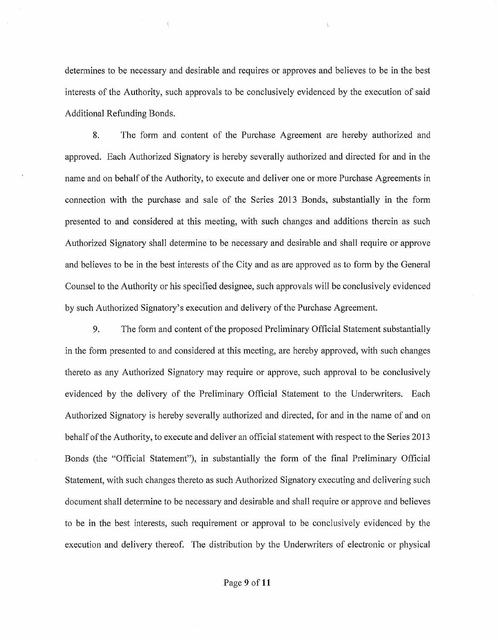determines to be necessary and desirable and requires or approves and believes to be in the best interests of the Authority, such approvals to be conclusively evidenced by the execution of said Additional Refunding Bonds.

8. The form and content of the Purchase Agreement are hereby authorized and approved. Each Authorized Signatory is hereby severally authorized and directed for and in the name and on behalf of the Authority, to execute and deliver one or more Purchase Agreements in connection with the purchase and sale of the Series 2013 Bonds, substantially in the form presented to and considered at this meeting, with such changes and additions therein as such Authorized Signatory shall determine to be necessary and desirable and shall require or approve and believes to be in the best interests of the City and as are approved as to form by the General Counsel to the Authority or his specified designee, such approvals will be conclusively evidenced by such Authorized Signatory's execution and delivery of the Purchase Agreement.

9. The form and content of the proposed Preliminary Official Statement substantially in the form presented to and considered at this meeting, are hereby approved, with such changes thereto as any Authorized Signatory may require or approve, such approval to be conclusively evidenced by the delivery of the Preliminary Official Statement to the Underwriters. Each Authorized Signatory is hereby severally authorized and directed, for and in the name of and on behalf of the Authority, to execute and deliver an official statement with respect to the Series 2013 Bonds (the "Official Statement"), in substantially the form of the final Preliminary Official Statement, with such changes thereto as such Authorized Signatory executing and delivering such document shall determine to be necessary and desirable and shall require or approve and believes to be in the best interests, such requirement or approval to be conclusively evidenced by the execution and delivery thereof. The distribution by the Underwriters of electronic or physical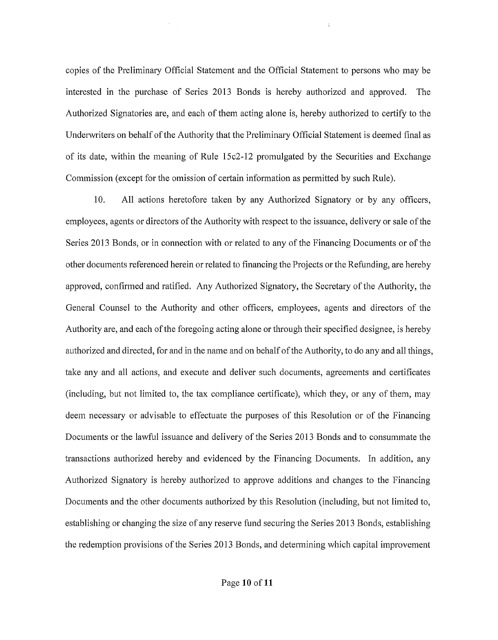copies of the Preliminary Official Statement and the Official Statement to persons who may be interested in the purchase of Series 2013 Bonds is hereby authorized and approved. The Authorized Signatories are, and each of them acting alone is, hereby authorized to certify to the Underwriters on behalf of the Authority that the Preliminary Official Statement is deemed final as of its date, within the meaning of Rule 15c2-12 promulgated by the Securities and Exchange Commission (except for the omission of certain information as permitted by such Rule).

10. All actions heretofore taken by any Authorized Signatory or by any officers, employees, agents or directors of the Authority with respect to the issuance, delivery or sale of the Series 2013 Bonds, or in connection with or related to any of the Financing Documents or of the other documents referenced herein or related to financing the Projects or the Refunding, are hereby approved, confirmed and ratified. Any Authorized Signatory, the Secretary ofthe Authority, the General Counsel to the Authority and other officers, employees, agents and directors of the Authority are, and each of the foregoing acting alone or through their specified designee, is hereby authorized and directed, for and in the name and on behalf of the Authority, to do any and all things, take any and all actions, and execute and deliver such documents, agreements and certificates (including, but not limited to, the tax compliance certificate), which they, or any of them, may deem necessary or advisable to effectuate the purposes of this Resolution or of the Financing Documents or the lawful issuance and delivery of the Series 2013 Bonds and to consummate the transactions authorized hereby and evidenced by the Financing Documents. In addition, any Authorized Signatory is hereby authorized to approve additions and changes to the Financing Documents and the other documents authorized by this Resolution (including, but not limited to, establishing or changing the size of any reserve fund securing the Series 2013 Bonds, establishing the redemption provisions of the Series 2013 Bonds, and determining which capital improvement